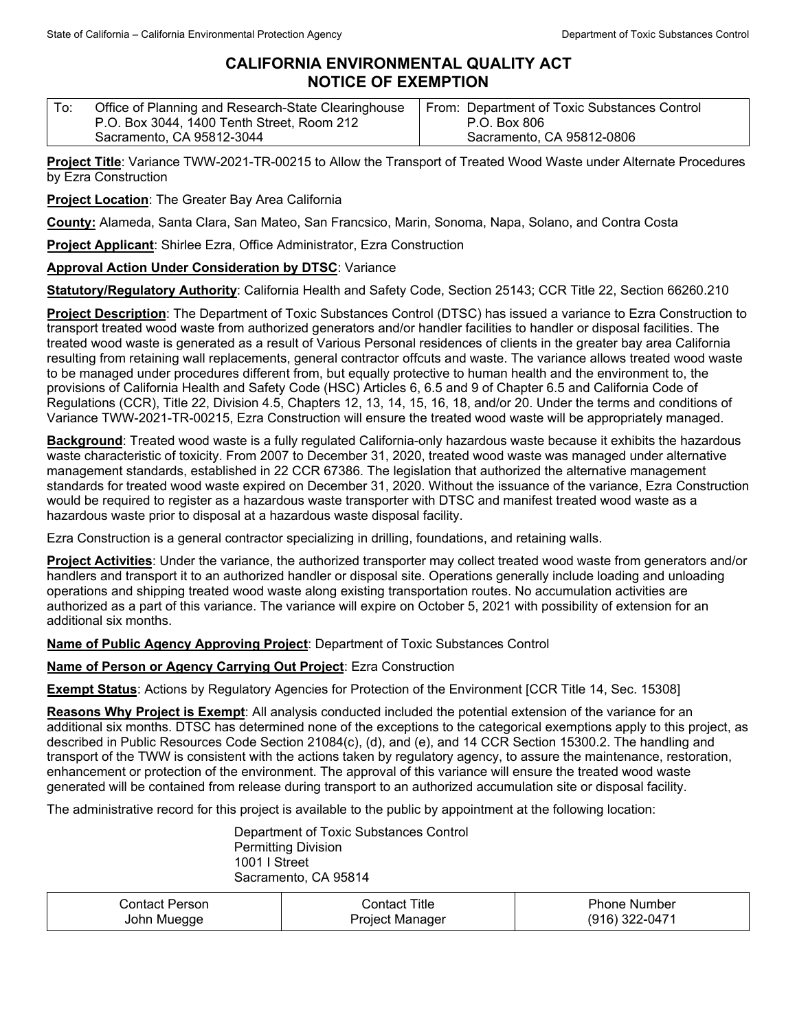## **CALIFORNIA ENVIRONMENTAL QUALITY ACT NOTICE OF EXEMPTION**

| To: | Office of Planning and Research-State Clearinghouse | From: Department of Toxic Substances Control |
|-----|-----------------------------------------------------|----------------------------------------------|
|     | P.O. Box 3044, 1400 Tenth Street, Room 212          | P.O. Box 806                                 |
|     | Sacramento, CA 95812-3044                           | Sacramento, CA 95812-0806                    |

**Project Title**: Variance TWW-2021-TR-00215 to Allow the Transport of Treated Wood Waste under Alternate Procedures by Ezra Construction

**Project Location**: The Greater Bay Area California

**County:** Alameda, Santa Clara, San Mateo, San Francsico, Marin, Sonoma, Napa, Solano, and Contra Costa

**Project Applicant**: Shirlee Ezra, Office Administrator, Ezra Construction

**Approval Action Under Consideration by DTSC**: Variance

**Statutory/Regulatory Authority**: California Health and Safety Code, Section 25143; CCR Title 22, Section 66260.210

**Project Description**: The Department of Toxic Substances Control (DTSC) has issued a variance to Ezra Construction to transport treated wood waste from authorized generators and/or handler facilities to handler or disposal facilities. The treated wood waste is generated as a result of Various Personal residences of clients in the greater bay area California resulting from retaining wall replacements, general contractor offcuts and waste. The variance allows treated wood waste to be managed under procedures different from, but equally protective to human health and the environment to, the provisions of California Health and Safety Code (HSC) Articles 6, 6.5 and 9 of Chapter 6.5 and California Code of Regulations (CCR), Title 22, Division 4.5, Chapters 12, 13, 14, 15, 16, 18, and/or 20. Under the terms and conditions of Variance TWW-2021-TR-00215, Ezra Construction will ensure the treated wood waste will be appropriately managed.

**Background**: Treated wood waste is a fully regulated California-only hazardous waste because it exhibits the hazardous waste characteristic of toxicity. From 2007 to December 31, 2020, treated wood waste was managed under alternative management standards, established in 22 CCR 67386. The legislation that authorized the alternative management standards for treated wood waste expired on December 31, 2020. Without the issuance of the variance, Ezra Construction would be required to register as a hazardous waste transporter with DTSC and manifest treated wood waste as a hazardous waste prior to disposal at a hazardous waste disposal facility.

Ezra Construction is a general contractor specializing in drilling, foundations, and retaining walls.

**Project Activities**: Under the variance, the authorized transporter may collect treated wood waste from generators and/or handlers and transport it to an authorized handler or disposal site. Operations generally include loading and unloading operations and shipping treated wood waste along existing transportation routes. No accumulation activities are authorized as a part of this variance. The variance will expire on October 5, 2021 with possibility of extension for an additional six months.

**Name of Public Agency Approving Project**: Department of Toxic Substances Control

**Name of Person or Agency Carrying Out Project**: Ezra Construction

**Exempt Status**: Actions by Regulatory Agencies for Protection of the Environment [CCR Title 14, Sec. 15308]

**Reasons Why Project is Exempt**: All analysis conducted included the potential extension of the variance for an additional six months. DTSC has determined none of the exceptions to the categorical exemptions apply to this project, as described in Public Resources Code Section 21084(c), (d), and (e), and 14 CCR Section 15300.2. The handling and transport of the TWW is consistent with the actions taken by regulatory agency, to assure the maintenance, restoration, enhancement or protection of the environment. The approval of this variance will ensure the treated wood waste generated will be contained from release during transport to an authorized accumulation site or disposal facility.

The administrative record for this project is available to the public by appointment at the following location:

Department of Toxic Substances Control Permitting Division 1001 I Street Sacramento, CA 95814

| Contact Person | Contact Title   | <b>Phone Number</b> |
|----------------|-----------------|---------------------|
| John Muegge    | Project Manager | (916) 322-0471      |